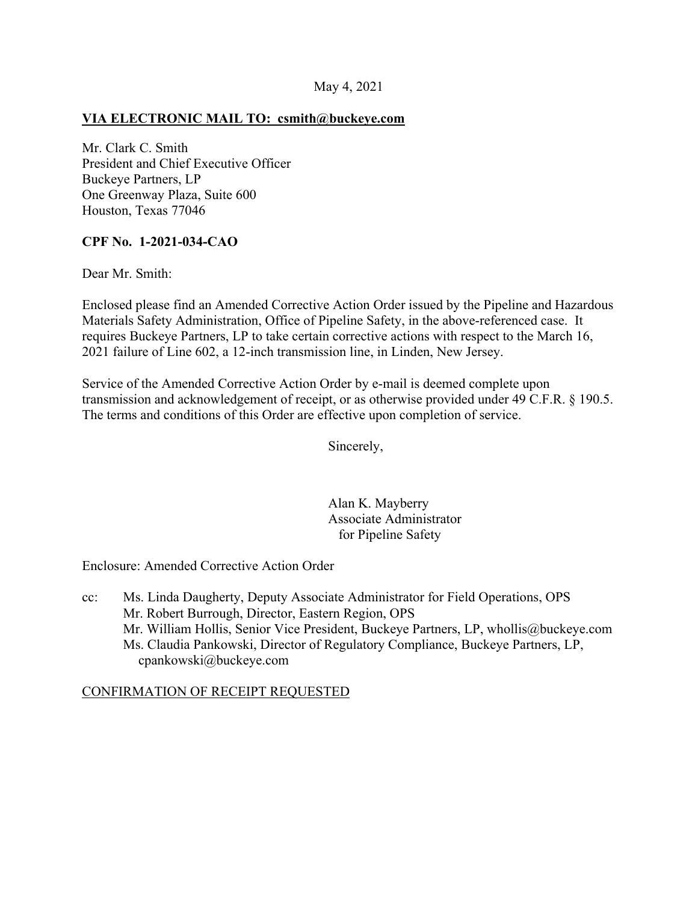# **VIA ELECTRONIC MAIL TO: [csmith@buckeye.com](mailto:csmith@buckeye.com)**

Mr. Clark C. Smith President and Chief Executive Officer Buckeye Partners, LP One Greenway Plaza, Suite 600 Houston, Texas 77046

# **CPF No. 1-2021-034-CAO**

Dear Mr. Smith:

Enclosed please find an Amended Corrective Action Order issued by the Pipeline and Hazardous Materials Safety Administration, Office of Pipeline Safety, in the above-referenced case. It requires Buckeye Partners, LP to take certain corrective actions with respect to the March 16, 2021 failure of Line 602, a 12-inch transmission line, in Linden, New Jersey.

Service of the Amended Corrective Action Order by e-mail is deemed complete upon transmission and acknowledgement of receipt, or as otherwise provided under 49 C.F.R. § 190.5. The terms and conditions of this Order are effective upon completion of service.

Sincerely,

Alan K. Mayberry Associate Administrator for Pipeline Safety

Enclosure: Amended Corrective Action Order

cc: Ms. Linda Daugherty, Deputy Associate Administrator for Field Operations, OPS Mr. Robert Burrough, Director, Eastern Region, OPS Mr. William Hollis, Senior Vice President, Buckeye Partners, LP, [whollis@buckeye.com](mailto:whollis@buckeye.com) Ms. Claudia Pankowski, Director of Regulatory Compliance, Buckeye Partners, LP, [cpankowski@buckeye.com](mailto:cpankowski@buckeye.com) 

### CONFIRMATION OF RECEIPT REQUESTED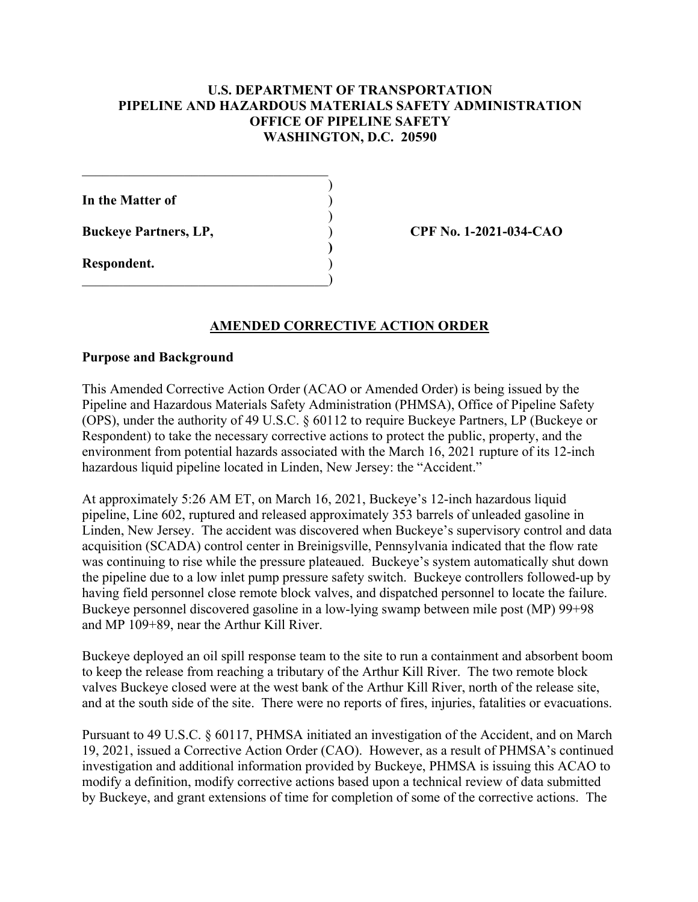### **U.S. DEPARTMENT OF TRANSPORTATION PIPELINE AND HAZARDOUS MATERIALS SAFETY ADMINISTRATION OFFICE OF PIPELINE SAFETY WASHINGTON, D.C. 20590**

)

)

) **)**  )

**In the Matter of** )

**Buckeye Partners, LP,** 

 $\Box$ )

**Respondent.** 

**CPF No. 1-2021-034-CAO** 

### **AMENDED CORRECTIVE ACTION ORDER**

#### **Purpose and Background**

This Amended Corrective Action Order (ACAO or Amended Order) is being issued by the Pipeline and Hazardous Materials Safety Administration (PHMSA), Office of Pipeline Safety (OPS), under the authority of 49 U.S.C. § 60112 to require Buckeye Partners, LP (Buckeye or Respondent) to take the necessary corrective actions to protect the public, property, and the environment from potential hazards associated with the March 16, 2021 rupture of its 12-inch hazardous liquid pipeline located in Linden, New Jersey: the "Accident."

At approximately 5:26 AM ET, on March 16, 2021, Buckeye's 12-inch hazardous liquid pipeline, Line 602, ruptured and released approximately 353 barrels of unleaded gasoline in Linden, New Jersey. The accident was discovered when Buckeye's supervisory control and data acquisition (SCADA) control center in Breinigsville, Pennsylvania indicated that the flow rate was continuing to rise while the pressure plateaued. Buckeye's system automatically shut down the pipeline due to a low inlet pump pressure safety switch. Buckeye controllers followed-up by having field personnel close remote block valves, and dispatched personnel to locate the failure. Buckeye personnel discovered gasoline in a low-lying swamp between mile post (MP) 99+98 and MP 109+89, near the Arthur Kill River.

Buckeye deployed an oil spill response team to the site to run a containment and absorbent boom to keep the release from reaching a tributary of the Arthur Kill River. The two remote block valves Buckeye closed were at the west bank of the Arthur Kill River, north of the release site, and at the south side of the site. There were no reports of fires, injuries, fatalities or evacuations.

Pursuant to 49 U.S.C. § 60117, PHMSA initiated an investigation of the Accident, and on March 19, 2021, issued a Corrective Action Order (CAO). However, as a result of PHMSA's continued investigation and additional information provided by Buckeye, PHMSA is issuing this ACAO to modify a definition, modify corrective actions based upon a technical review of data submitted by Buckeye, and grant extensions of time for completion of some of the corrective actions. The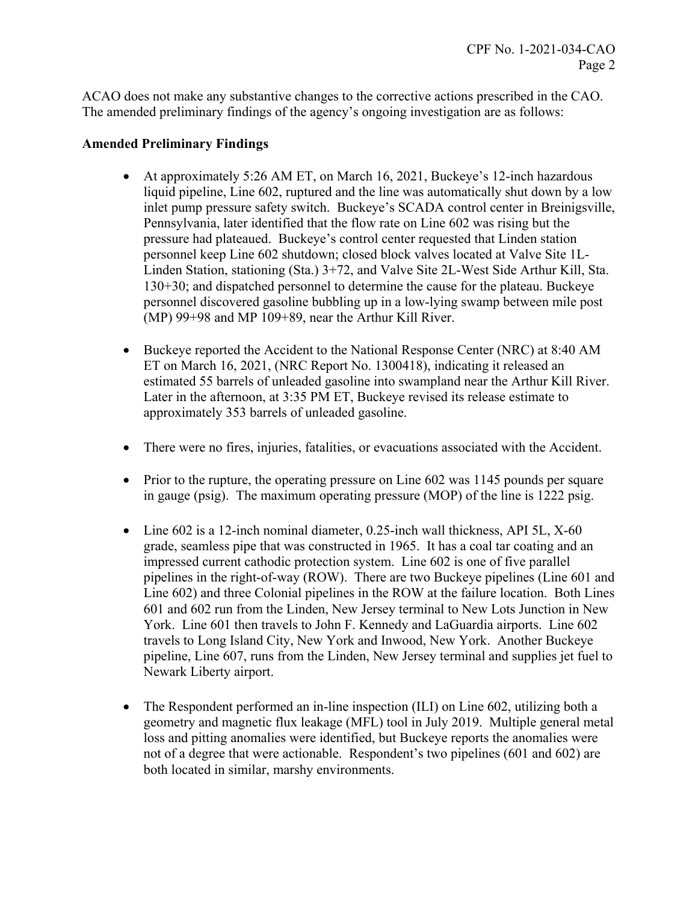ACAO does not make any substantive changes to the corrective actions prescribed in the CAO. The amended preliminary findings of the agency's ongoing investigation are as follows:

### **Amended Preliminary Findings**

- At approximately 5:26 AM ET, on March 16, 2021, Buckeye's 12-inch hazardous liquid pipeline, Line 602, ruptured and the line was automatically shut down by a low inlet pump pressure safety switch. Buckeye's SCADA control center in Breinigsville, Pennsylvania, later identified that the flow rate on Line 602 was rising but the pressure had plateaued. Buckeye's control center requested that Linden station personnel keep Line 602 shutdown; closed block valves located at Valve Site 1L-Linden Station, stationing (Sta.) 3+72, and Valve Site 2L-West Side Arthur Kill, Sta. 130+30; and dispatched personnel to determine the cause for the plateau. Buckeye personnel discovered gasoline bubbling up in a low-lying swamp between mile post (MP) 99+98 and MP 109+89, near the Arthur Kill River.
- Buckeye reported the Accident to the National Response Center (NRC) at 8:40 AM ET on March 16, 2021, (NRC Report No. 1300418), indicating it released an estimated 55 barrels of unleaded gasoline into swampland near the Arthur Kill River. Later in the afternoon, at 3:35 PM ET, Buckeye revised its release estimate to approximately 353 barrels of unleaded gasoline.
- There were no fires, injuries, fatalities, or evacuations associated with the Accident.
- Prior to the rupture, the operating pressure on Line 602 was 1145 pounds per square in gauge (psig). The maximum operating pressure (MOP) of the line is 1222 psig.
- Line 602 is a 12-inch nominal diameter, 0.25-inch wall thickness, API 5L, X-60 grade, seamless pipe that was constructed in 1965. It has a coal tar coating and an impressed current cathodic protection system. Line 602 is one of five parallel pipelines in the right-of-way (ROW). There are two Buckeye pipelines (Line 601 and Line 602) and three Colonial pipelines in the ROW at the failure location. Both Lines 601 and 602 run from the Linden, New Jersey terminal to New Lots Junction in New York. Line 601 then travels to John F. Kennedy and LaGuardia airports. Line 602 travels to Long Island City, New York and Inwood, New York. Another Buckeye pipeline, Line 607, runs from the Linden, New Jersey terminal and supplies jet fuel to Newark Liberty airport.
- The Respondent performed an in-line inspection (ILI) on Line 602, utilizing both a geometry and magnetic flux leakage (MFL) tool in July 2019. Multiple general metal loss and pitting anomalies were identified, but Buckeye reports the anomalies were not of a degree that were actionable. Respondent's two pipelines (601 and 602) are both located in similar, marshy environments.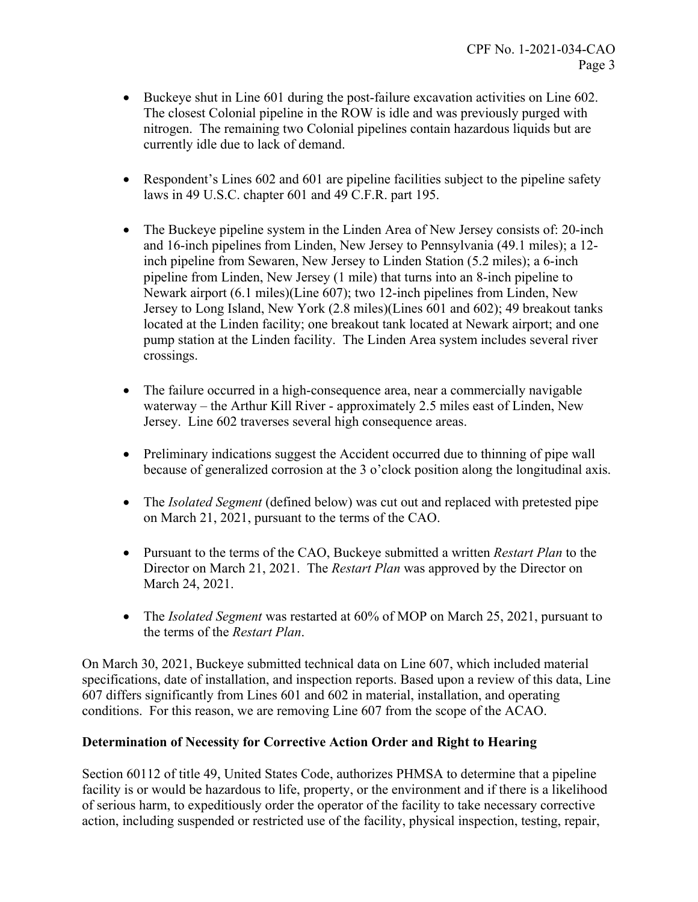- Buckeye shut in Line 601 during the post-failure excavation activities on Line 602. The closest Colonial pipeline in the ROW is idle and was previously purged with nitrogen. The remaining two Colonial pipelines contain hazardous liquids but are currently idle due to lack of demand.
- Respondent's Lines 602 and 601 are pipeline facilities subject to the pipeline safety laws in 49 U.S.C. chapter 601 and 49 C.F.R. part 195.
- The Buckeye pipeline system in the Linden Area of New Jersey consists of: 20-inch and 16-inch pipelines from Linden, New Jersey to Pennsylvania (49.1 miles); a 12 inch pipeline from Sewaren, New Jersey to Linden Station (5.2 miles); a 6-inch pipeline from Linden, New Jersey (1 mile) that turns into an 8-inch pipeline to Newark airport (6.1 miles)(Line 607); two 12-inch pipelines from Linden, New Jersey to Long Island, New York (2.8 miles)(Lines 601 and 602); 49 breakout tanks located at the Linden facility; one breakout tank located at Newark airport; and one pump station at the Linden facility. The Linden Area system includes several river crossings.
- The failure occurred in a high-consequence area, near a commercially navigable waterway – the Arthur Kill River - approximately 2.5 miles east of Linden, New Jersey. Line 602 traverses several high consequence areas.
- Preliminary indications suggest the Accident occurred due to thinning of pipe wall because of generalized corrosion at the 3 o'clock position along the longitudinal axis.
- The *Isolated Segment* (defined below) was cut out and replaced with pretested pipe on March 21, 2021, pursuant to the terms of the CAO.
- Pursuant to the terms of the CAO, Buckeye submitted a written *Restart Plan* to the Director on March 21, 2021. The *Restart Plan* was approved by the Director on March 24, 2021.
- The *Isolated Segment* was restarted at 60% of MOP on March 25, 2021, pursuant to the terms of the *Restart Plan*.

On March 30, 2021, Buckeye submitted technical data on Line 607, which included material specifications, date of installation, and inspection reports. Based upon a review of this data, Line 607 differs significantly from Lines 601 and 602 in material, installation, and operating conditions. For this reason, we are removing Line 607 from the scope of the ACAO.

# **Determination of Necessity for Corrective Action Order and Right to Hearing**

Section 60112 of title 49, United States Code, authorizes PHMSA to determine that a pipeline facility is or would be hazardous to life, property, or the environment and if there is a likelihood of serious harm, to expeditiously order the operator of the facility to take necessary corrective action, including suspended or restricted use of the facility, physical inspection, testing, repair,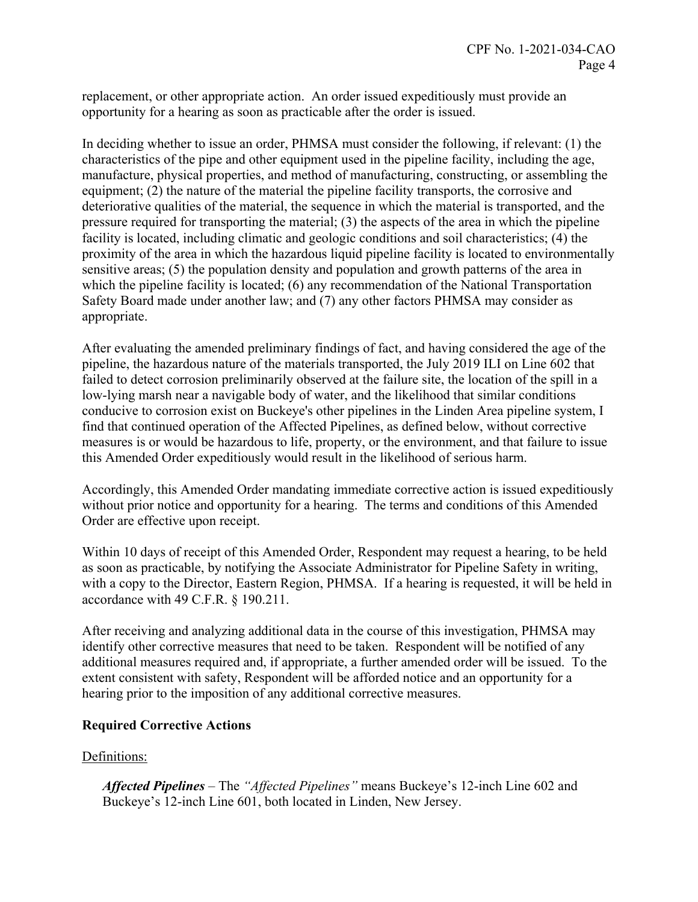replacement, or other appropriate action. An order issued expeditiously must provide an opportunity for a hearing as soon as practicable after the order is issued.

In deciding whether to issue an order, PHMSA must consider the following, if relevant: (1) the characteristics of the pipe and other equipment used in the pipeline facility, including the age, manufacture, physical properties, and method of manufacturing, constructing, or assembling the equipment; (2) the nature of the material the pipeline facility transports, the corrosive and deteriorative qualities of the material, the sequence in which the material is transported, and the pressure required for transporting the material; (3) the aspects of the area in which the pipeline facility is located, including climatic and geologic conditions and soil characteristics; (4) the proximity of the area in which the hazardous liquid pipeline facility is located to environmentally sensitive areas; (5) the population density and population and growth patterns of the area in which the pipeline facility is located; (6) any recommendation of the National Transportation Safety Board made under another law; and (7) any other factors PHMSA may consider as appropriate.

After evaluating the amended preliminary findings of fact, and having considered the age of the pipeline, the hazardous nature of the materials transported, the July 2019 ILI on Line 602 that failed to detect corrosion preliminarily observed at the failure site, the location of the spill in a low-lying marsh near a navigable body of water, and the likelihood that similar conditions conducive to corrosion exist on Buckeye's other pipelines in the Linden Area pipeline system, I find that continued operation of the Affected Pipelines, as defined below, without corrective measures is or would be hazardous to life, property, or the environment, and that failure to issue this Amended Order expeditiously would result in the likelihood of serious harm.

Accordingly, this Amended Order mandating immediate corrective action is issued expeditiously without prior notice and opportunity for a hearing. The terms and conditions of this Amended Order are effective upon receipt.

Within 10 days of receipt of this Amended Order, Respondent may request a hearing, to be held as soon as practicable, by notifying the Associate Administrator for Pipeline Safety in writing, with a copy to the Director, Eastern Region, PHMSA. If a hearing is requested, it will be held in accordance with 49 C.F.R. § 190.211.

After receiving and analyzing additional data in the course of this investigation, PHMSA may identify other corrective measures that need to be taken. Respondent will be notified of any additional measures required and, if appropriate, a further amended order will be issued. To the extent consistent with safety, Respondent will be afforded notice and an opportunity for a hearing prior to the imposition of any additional corrective measures.

# **Required Corrective Actions**

### Definitions:

*Affected Pipelines* – The *"Affected Pipelines"* means Buckeye's 12-inch Line 602 and Buckeye's 12-inch Line 601, both located in Linden, New Jersey.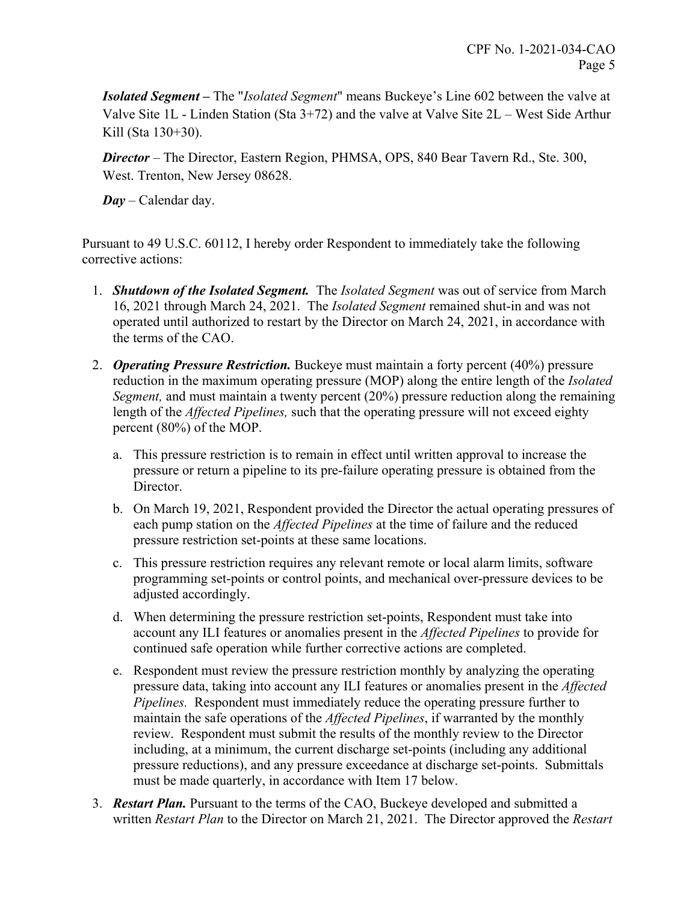*Isolated Segment –* The "*Isolated Segment*" means Buckeye's Line 602 between the valve at Valve Site 1L - Linden Station (Sta 3+72) and the valve at Valve Site 2L – West Side Arthur Kill (Sta 130+30).

*Director* – The Director, Eastern Region, PHMSA, OPS, 840 Bear Tavern Rd., Ste. 300, West. Trenton, New Jersey 08628.

*Day* – Calendar day.

Pursuant to 49 U.S.C. 60112, I hereby order Respondent to immediately take the following corrective actions:

- 1. *Shutdown of the Isolated Segment.* The *Isolated Segment* was out of service from March 16, 2021 through March 24, 2021. The *Isolated Segment* remained shut-in and was not operated until authorized to restart by the Director on March 24, 2021, in accordance with the terms of the CAO.
- 2. *Operating Pressure Restriction.* Buckeye must maintain a forty percent (40%) pressure reduction in the maximum operating pressure (MOP) along the entire length of the *Isolated Segment,* and must maintain a twenty percent (20%) pressure reduction along the remaining length of the *Affected Pipelines,* such that the operating pressure will not exceed eighty percent (80%) of the MOP.
	- a. This pressure restriction is to remain in effect until written approval to increase the pressure or return a pipeline to its pre-failure operating pressure is obtained from the Director.
	- b. On March 19, 2021, Respondent provided the Director the actual operating pressures of each pump station on the *Affected Pipelines* at the time of failure and the reduced pressure restriction set-points at these same locations.
	- c. This pressure restriction requires any relevant remote or local alarm limits, software programming set-points or control points, and mechanical over-pressure devices to be adjusted accordingly.
	- d. When determining the pressure restriction set-points, Respondent must take into account any ILI features or anomalies present in the *Affected Pipelines* to provide for continued safe operation while further corrective actions are completed.
	- e. Respondent must review the pressure restriction monthly by analyzing the operating pressure data, taking into account any ILI features or anomalies present in the *Affected Pipelines.* Respondent must immediately reduce the operating pressure further to maintain the safe operations of the *Affected Pipelines*, if warranted by the monthly review. Respondent must submit the results of the monthly review to the Director including, at a minimum, the current discharge set-points (including any additional pressure reductions), and any pressure exceedance at discharge set-points. Submittals must be made quarterly, in accordance with Item 17 below.
- 3. *Restart Plan.* Pursuant to the terms of the CAO, Buckeye developed and submitted a written *Restart Plan* to the Director on March 21, 2021. The Director approved the *Restart*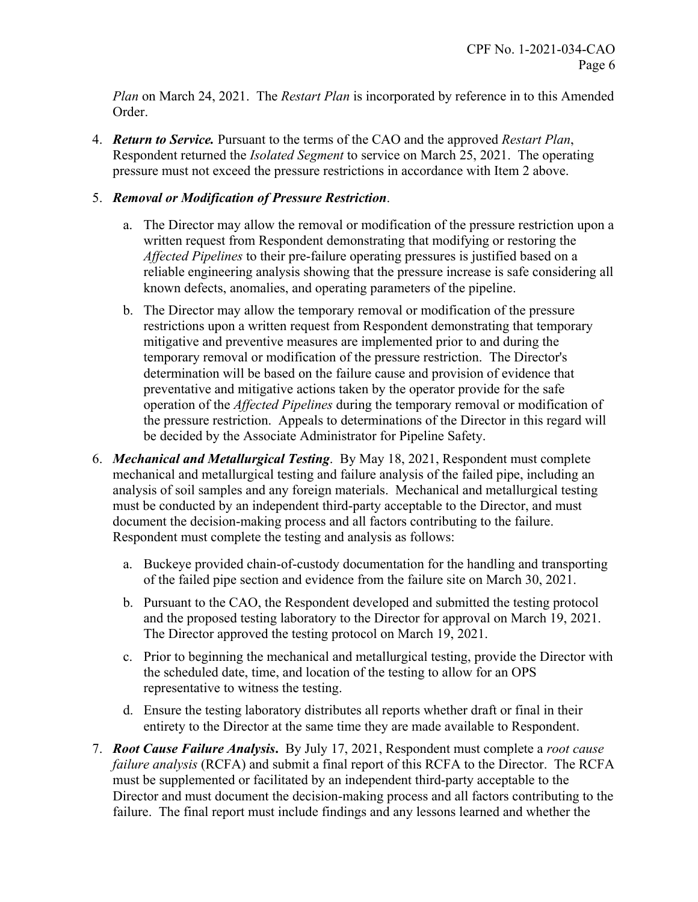*Plan* on March 24, 2021. The *Restart Plan* is incorporated by reference in to this Amended Order.

4. *Return to Service.* Pursuant to the terms of the CAO and the approved *Restart Plan*, Respondent returned the *Isolated Segment* to service on March 25, 2021. The operating pressure must not exceed the pressure restrictions in accordance with Item 2 above.

# 5. *Removal or Modification of Pressure Restriction*.

- a. The Director may allow the removal or modification of the pressure restriction upon a written request from Respondent demonstrating that modifying or restoring the *Affected Pipelines* to their pre-failure operating pressures is justified based on a reliable engineering analysis showing that the pressure increase is safe considering all known defects, anomalies, and operating parameters of the pipeline.
- b. The Director may allow the temporary removal or modification of the pressure restrictions upon a written request from Respondent demonstrating that temporary mitigative and preventive measures are implemented prior to and during the temporary removal or modification of the pressure restriction. The Director's determination will be based on the failure cause and provision of evidence that preventative and mitigative actions taken by the operator provide for the safe operation of the *Affected Pipelines* during the temporary removal or modification of the pressure restriction. Appeals to determinations of the Director in this regard will be decided by the Associate Administrator for Pipeline Safety.
- 6. *Mechanical and Metallurgical Testing*. By May 18, 2021, Respondent must complete mechanical and metallurgical testing and failure analysis of the failed pipe, including an analysis of soil samples and any foreign materials. Mechanical and metallurgical testing must be conducted by an independent third-party acceptable to the Director, and must document the decision-making process and all factors contributing to the failure. Respondent must complete the testing and analysis as follows:
	- a. Buckeye provided chain-of-custody documentation for the handling and transporting of the failed pipe section and evidence from the failure site on March 30, 2021.
	- b. Pursuant to the CAO, the Respondent developed and submitted the testing protocol and the proposed testing laboratory to the Director for approval on March 19, 2021. The Director approved the testing protocol on March 19, 2021.
	- c. Prior to beginning the mechanical and metallurgical testing, provide the Director with the scheduled date, time, and location of the testing to allow for an OPS representative to witness the testing.
	- d. Ensure the testing laboratory distributes all reports whether draft or final in their entirety to the Director at the same time they are made available to Respondent.
- 7. *Root Cause Failure Analysis***.** By July 17, 2021, Respondent must complete a *root cause failure analysis* (RCFA) and submit a final report of this RCFA to the Director. The RCFA must be supplemented or facilitated by an independent third-party acceptable to the Director and must document the decision-making process and all factors contributing to the failure. The final report must include findings and any lessons learned and whether the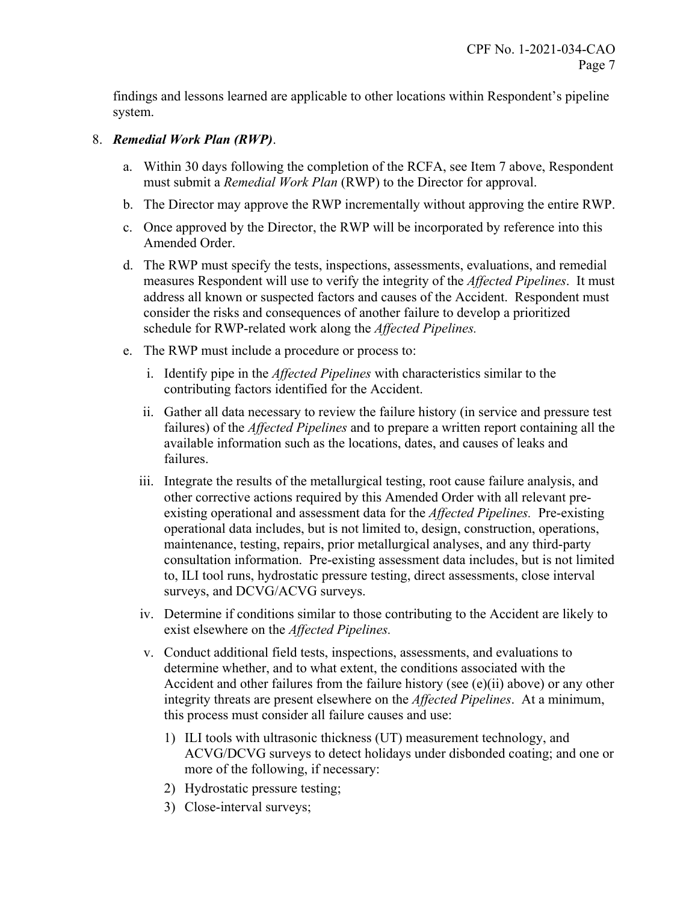findings and lessons learned are applicable to other locations within Respondent's pipeline system.

### 8. *Remedial Work Plan (RWP)*.

- a. Within 30 days following the completion of the RCFA, see Item 7 above, Respondent must submit a *Remedial Work Plan* (RWP) to the Director for approval.
- b. The Director may approve the RWP incrementally without approving the entire RWP.
- c. Once approved by the Director, the RWP will be incorporated by reference into this Amended Order.
- d. The RWP must specify the tests, inspections, assessments, evaluations, and remedial measures Respondent will use to verify the integrity of the *Affected Pipelines*. It must address all known or suspected factors and causes of the Accident. Respondent must consider the risks and consequences of another failure to develop a prioritized schedule for RWP-related work along the *Affected Pipelines.*
- e. The RWP must include a procedure or process to:
	- i. Identify pipe in the *Affected Pipelines* with characteristics similar to the contributing factors identified for the Accident.
	- ii. Gather all data necessary to review the failure history (in service and pressure test failures) of the *Affected Pipelines* and to prepare a written report containing all the available information such as the locations, dates, and causes of leaks and failures.
	- iii. Integrate the results of the metallurgical testing, root cause failure analysis, and other corrective actions required by this Amended Order with all relevant preexisting operational and assessment data for the *Affected Pipelines.* Pre-existing operational data includes, but is not limited to, design, construction, operations, maintenance, testing, repairs, prior metallurgical analyses, and any third-party consultation information. Pre-existing assessment data includes, but is not limited to, ILI tool runs, hydrostatic pressure testing, direct assessments, close interval surveys, and DCVG/ACVG surveys.
	- iv. Determine if conditions similar to those contributing to the Accident are likely to exist elsewhere on the *Affected Pipelines.*
	- v. Conduct additional field tests, inspections, assessments, and evaluations to determine whether, and to what extent, the conditions associated with the Accident and other failures from the failure history (see (e)(ii) above) or any other integrity threats are present elsewhere on the *Affected Pipelines*. At a minimum, this process must consider all failure causes and use:
		- 1) ILI tools with ultrasonic thickness (UT) measurement technology, and ACVG/DCVG surveys to detect holidays under disbonded coating; and one or more of the following, if necessary:
		- 2) Hydrostatic pressure testing;
		- 3) Close-interval surveys;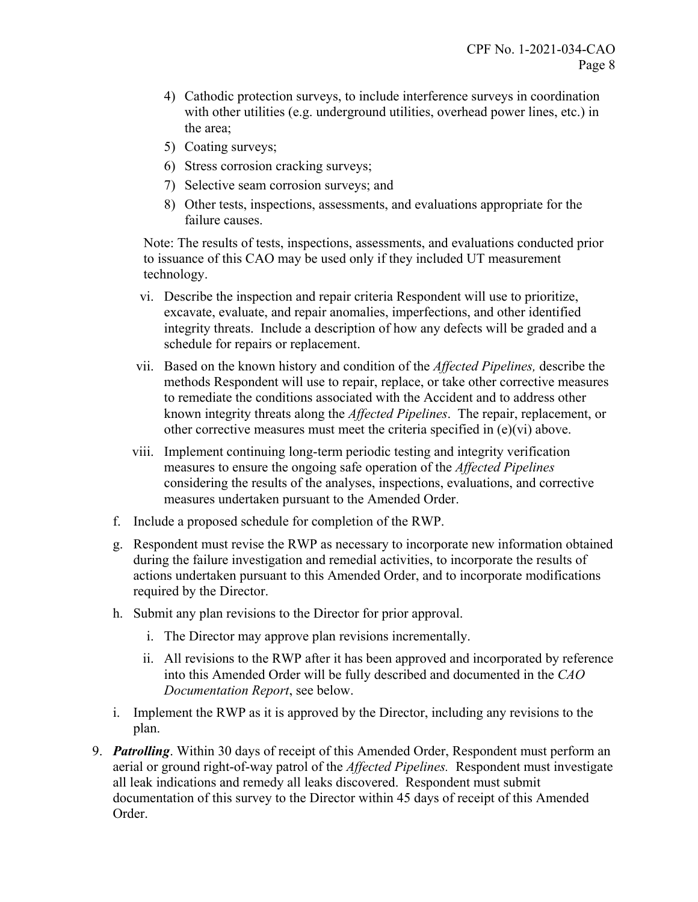- 4) Cathodic protection surveys, to include interference surveys in coordination with other utilities (e.g. underground utilities, overhead power lines, etc.) in the area;
- 5) Coating surveys;
- 6) Stress corrosion cracking surveys;
- 7) Selective seam corrosion surveys; and
- 8) Other tests, inspections, assessments, and evaluations appropriate for the failure causes.

Note: The results of tests, inspections, assessments, and evaluations conducted prior to issuance of this CAO may be used only if they included UT measurement technology.

- vi. Describe the inspection and repair criteria Respondent will use to prioritize, excavate, evaluate, and repair anomalies, imperfections, and other identified integrity threats. Include a description of how any defects will be graded and a schedule for repairs or replacement.
- vii. Based on the known history and condition of the *Affected Pipelines,* describe the methods Respondent will use to repair, replace, or take other corrective measures to remediate the conditions associated with the Accident and to address other known integrity threats along the *Affected Pipelines*. The repair, replacement, or other corrective measures must meet the criteria specified in (e)(vi) above.
- viii. Implement continuing long-term periodic testing and integrity verification measures to ensure the ongoing safe operation of the *Affected Pipelines*  considering the results of the analyses, inspections, evaluations, and corrective measures undertaken pursuant to the Amended Order.
- f. Include a proposed schedule for completion of the RWP.
- g. Respondent must revise the RWP as necessary to incorporate new information obtained during the failure investigation and remedial activities, to incorporate the results of actions undertaken pursuant to this Amended Order, and to incorporate modifications required by the Director.
- h. Submit any plan revisions to the Director for prior approval.
	- i. The Director may approve plan revisions incrementally.
	- ii. All revisions to the RWP after it has been approved and incorporated by reference into this Amended Order will be fully described and documented in the *CAO Documentation Report*, see below.
- i. Implement the RWP as it is approved by the Director, including any revisions to the plan.
- 9. *Patrolling*. Within 30 days of receipt of this Amended Order, Respondent must perform an aerial or ground right-of-way patrol of the *Affected Pipelines.* Respondent must investigate all leak indications and remedy all leaks discovered. Respondent must submit documentation of this survey to the Director within 45 days of receipt of this Amended Order.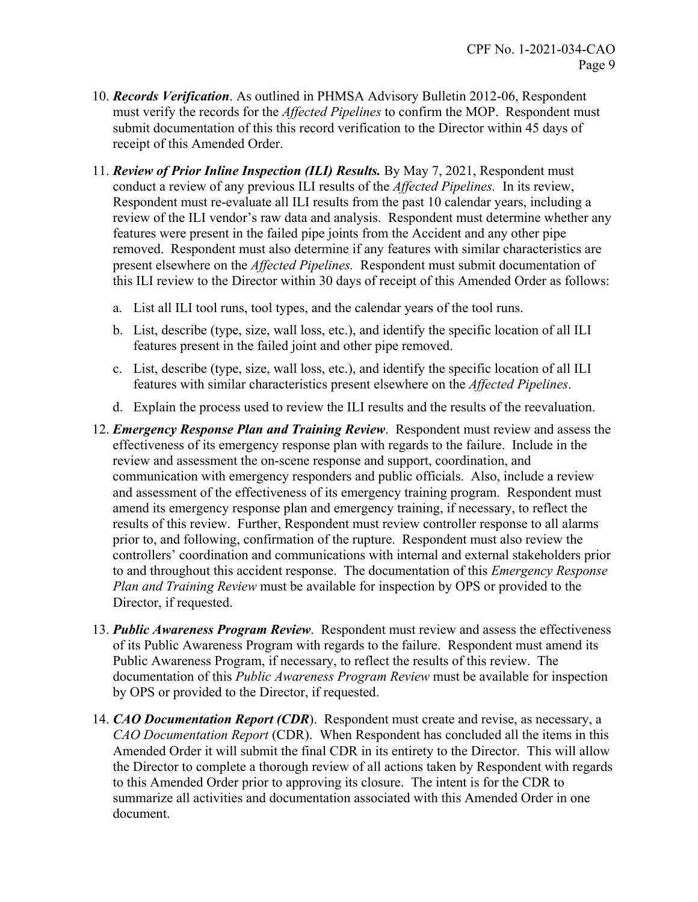- 10. *Records Verification*. As outlined in PHMSA Advisory Bulletin 2012-06, Respondent must verify the records for the *Affected Pipelines* to confirm the MOP. Respondent must submit documentation of this this record verification to the Director within 45 days of receipt of this Amended Order.
- 11. *Review of Prior Inline Inspection (ILI) Results.* By May 7, 2021, Respondent must conduct a review of any previous ILI results of the *Affected Pipelines.* In its review, Respondent must re-evaluate all ILI results from the past 10 calendar years, including a review of the ILI vendor's raw data and analysis. Respondent must determine whether any features were present in the failed pipe joints from the Accident and any other pipe removed. Respondent must also determine if any features with similar characteristics are present elsewhere on the *Affected Pipelines.* Respondent must submit documentation of this ILI review to the Director within 30 days of receipt of this Amended Order as follows:
	- a. List all ILI tool runs, tool types, and the calendar years of the tool runs.
	- b. List, describe (type, size, wall loss, etc.), and identify the specific location of all ILI features present in the failed joint and other pipe removed.
	- c. List, describe (type, size, wall loss, etc.), and identify the specific location of all ILI features with similar characteristics present elsewhere on the *Affected Pipelines*.
	- d. Explain the process used to review the ILI results and the results of the reevaluation.
- 12. *Emergency Response Plan and Training Review*. Respondent must review and assess the effectiveness of its emergency response plan with regards to the failure. Include in the review and assessment the on-scene response and support, coordination, and communication with emergency responders and public officials. Also, include a review and assessment of the effectiveness of its emergency training program. Respondent must amend its emergency response plan and emergency training, if necessary, to reflect the results of this review. Further, Respondent must review controller response to all alarms prior to, and following, confirmation of the rupture. Respondent must also review the controllers' coordination and communications with internal and external stakeholders prior to and throughout this accident response. The documentation of this *Emergency Response Plan and Training Review* must be available for inspection by OPS or provided to the Director, if requested.
- 13. *Public Awareness Program Review*. Respondent must review and assess the effectiveness of its Public Awareness Program with regards to the failure. Respondent must amend its Public Awareness Program, if necessary, to reflect the results of this review. The documentation of this *Public Awareness Program Review* must be available for inspection by OPS or provided to the Director, if requested.
- 14. *CAO Documentation Report (CDR*). Respondent must create and revise, as necessary, a *CAO Documentation Report* (CDR). When Respondent has concluded all the items in this Amended Order it will submit the final CDR in its entirety to the Director. This will allow the Director to complete a thorough review of all actions taken by Respondent with regards to this Amended Order prior to approving its closure. The intent is for the CDR to summarize all activities and documentation associated with this Amended Order in one document.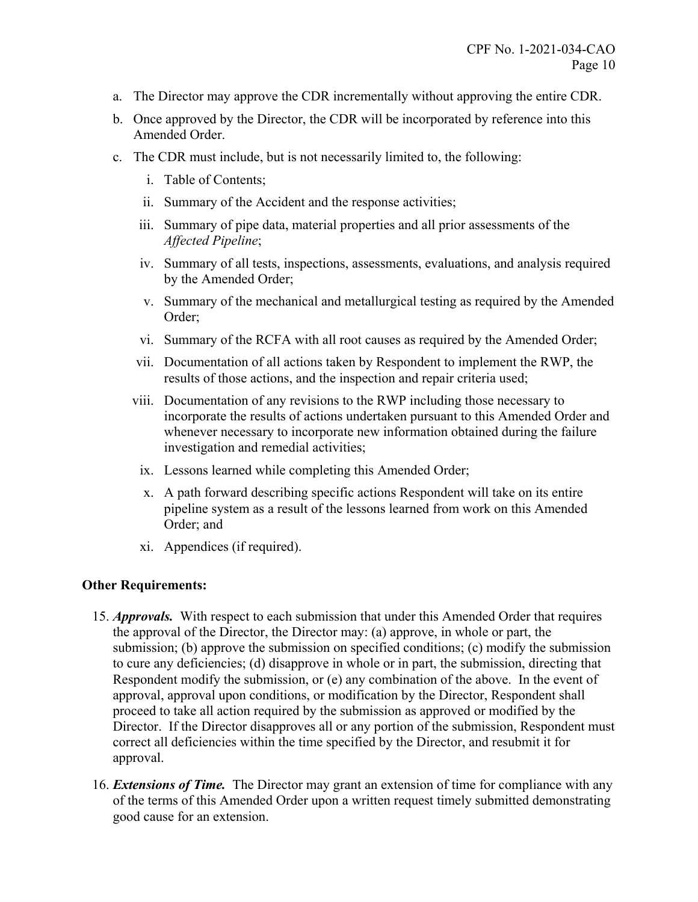- a. The Director may approve the CDR incrementally without approving the entire CDR.
- b. Once approved by the Director, the CDR will be incorporated by reference into this Amended Order.
- c. The CDR must include, but is not necessarily limited to, the following:
	- i. Table of Contents;
	- ii. Summary of the Accident and the response activities;
	- iii. Summary of pipe data, material properties and all prior assessments of the *Affected Pipeline*;
	- iv. Summary of all tests, inspections, assessments, evaluations, and analysis required by the Amended Order;
	- v. Summary of the mechanical and metallurgical testing as required by the Amended Order;
	- vi. Summary of the RCFA with all root causes as required by the Amended Order;
	- vii. Documentation of all actions taken by Respondent to implement the RWP, the results of those actions, and the inspection and repair criteria used;
	- viii. Documentation of any revisions to the RWP including those necessary to incorporate the results of actions undertaken pursuant to this Amended Order and whenever necessary to incorporate new information obtained during the failure investigation and remedial activities;
		- ix. Lessons learned while completing this Amended Order;
		- x. A path forward describing specific actions Respondent will take on its entire pipeline system as a result of the lessons learned from work on this Amended Order; and
		- xi. Appendices (if required).

### **Other Requirements:**

- 15. *Approvals.* With respect to each submission that under this Amended Order that requires the approval of the Director, the Director may: (a) approve, in whole or part, the submission; (b) approve the submission on specified conditions; (c) modify the submission to cure any deficiencies; (d) disapprove in whole or in part, the submission, directing that Respondent modify the submission, or (e) any combination of the above. In the event of approval, approval upon conditions, or modification by the Director, Respondent shall proceed to take all action required by the submission as approved or modified by the Director. If the Director disapproves all or any portion of the submission, Respondent must correct all deficiencies within the time specified by the Director, and resubmit it for approval.
- 16. *Extensions of Time.* The Director may grant an extension of time for compliance with any of the terms of this Amended Order upon a written request timely submitted demonstrating good cause for an extension.